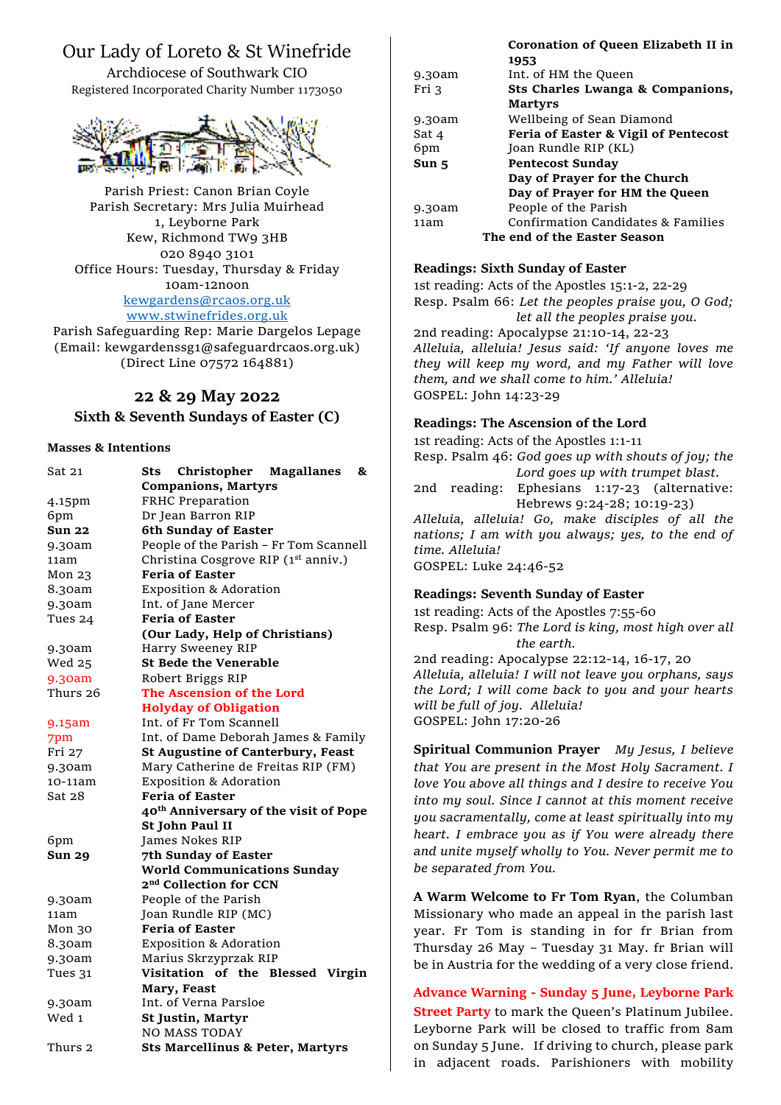# Our Lady of Loreto & St Winefride

Archdiocese of Southwark CIO Registered Incorporated Charity Number 1173050



Parish Priest: Canon Brian Coyle Parish Secretary: Mrs Julia Muirhead 1, Leyborne Park Kew, Richmond TW9 3HB 020 8940 3101 Office Hours: Tuesday, Thursday & Friday 10am-12noon [kewgardens@rcaos.org.uk](mailto:kewgardens@rcaos.org.uk) [www.stwinefrides.org.uk](http://www.stwinefrides.org.uk/)

Parish Safeguarding Rep: Marie Dargelos Lepage (Email: kewgardenssg1@safeguardrcaos.org.uk) (Direct Line 07572 164881)

## **22 & 29 May 2022**

### **Sixth & Seventh Sundays of Easter (C)**

#### **Masses & Intentions**

| Sat 21        | Christopher Magallanes<br>Sts<br>&<br><b>Companions, Martyrs</b> |
|---------------|------------------------------------------------------------------|
| 4.15pm        | FRHC Preparation                                                 |
| 6pm           | Dr Jean Barron RIP                                               |
| Sun 22        | <b>6th Sunday of Easter</b>                                      |
| 9.30am        | People of the Parish - Fr Tom Scannell                           |
| 11am          | Christina Cosgrove RIP (1 <sup>st</sup> anniv.)                  |
| Mon 23        | <b>Feria of Easter</b>                                           |
| 8.30am        | <b>Exposition &amp; Adoration</b>                                |
| 9.30am        | Int. of Jane Mercer                                              |
| Tues 24       | <b>Feria of Easter</b>                                           |
|               | (Our Lady, Help of Christians)                                   |
| 9.30am        | Harry Sweeney RIP                                                |
| Wed 25        | <b>St Bede the Venerable</b>                                     |
| 9.30am        | Robert Briggs RIP                                                |
| Thurs 26      | The Ascension of the Lord                                        |
|               | <b>Holyday of Obligation</b>                                     |
| 9.15am        | Int. of Fr Tom Scannell                                          |
| 7pm           | Int. of Dame Deborah James & Family                              |
| Fri 27        | <b>St Augustine of Canterbury, Feast</b>                         |
| 9.30am        | Mary Catherine de Freitas RIP (FM)                               |
| 10-11am       | <b>Exposition &amp; Adoration</b>                                |
| Sat 28        | <b>Feria of Easter</b>                                           |
|               | 40 <sup>th</sup> Anniversary of the visit of Pope                |
|               | St John Paul II                                                  |
| 6pm           | James Nokes RIP                                                  |
| <b>Sun 29</b> | 7th Sunday of Easter                                             |
|               | <b>World Communications Sunday</b>                               |
|               | 2 <sup>nd</sup> Collection for CCN                               |
| 9.30am        | People of the Parish                                             |
| 11am          | Joan Rundle RIP (MC)                                             |
| Mon 30        | <b>Feria of Easter</b>                                           |
| 8.30am        | <b>Exposition &amp; Adoration</b>                                |
| 9.30am        | Marius Skrzyprzak RIP                                            |
| Tues 31       | Visitation of the Blessed Virgin                                 |
|               | Mary, Feast                                                      |
| 9.30am        | Int. of Verna Parsloe                                            |
| Wed 1         | <b>St Justin, Martyr</b>                                         |
|               | <b>NO MASS TODAY</b>                                             |
| Thurs 2       | <b>Sts Marcellinus &amp; Peter, Martyrs</b>                      |

|        | Coronation of Queen Enzabeth II in   |
|--------|--------------------------------------|
|        | 1953                                 |
| 9.30am | Int. of HM the Queen                 |
| Fri 3  | Sts Charles Lwanga & Companions,     |
|        | <b>Martyrs</b>                       |
| 9.30am | Wellbeing of Sean Diamond            |
| Sat 4  | Feria of Easter & Vigil of Pentecost |
| 6pm    | Joan Rundle RIP (KL)                 |
| Sun 5  | <b>Pentecost Sunday</b>              |
|        | Day of Prayer for the Church         |
|        | Day of Prayer for HM the Queen       |
| 9.30am | People of the Parish                 |
| 11am   | Confirmation Candidates & Families   |
|        | The end of the Easter Season         |

**Coronation of Queen Elizabeth II in** 

#### **Readings: Sixth Sunday of Easter**

1st reading: Acts of the Apostles 15:1-2, 22-29 Resp. Psalm 66: *Let the peoples praise you, O God; let all the peoples praise you.*

2nd reading: Apocalypse 21:10-14, 22-23 *Alleluia, alleluia! Jesus said: 'If anyone loves me they will keep my word, and my Father will love them, and we shall come to him.' Alleluia!* GOSPEL: John 14:23-29

## **Readings: The Ascension of the Lord**

1st reading: Acts of the Apostles 1:1-11 Resp. Psalm 46: *God goes up with shouts of joy; the Lord goes up with trumpet blast.* 2nd reading: Ephesians 1:17-23 (alternative: Hebrews 9:24-28; 10:19-23) *Alleluia, alleluia! Go, make disciples of all the nations; I am with you always; yes, to the end of time. Alleluia!* GOSPEL: Luke 24:46-52

## **Readings: Seventh Sunday of Easter**

1st reading: Acts of the Apostles 7:55-60 Resp. Psalm 96: *The Lord is king, most high over all the earth.* 2nd reading: Apocalypse 22:12-14, 16-17, 20

*Alleluia, alleluia! I will not leave you orphans, says the Lord; I will come back to you and your hearts will be full of joy. Alleluia!* GOSPEL: John 17:20-26

**Spiritual Communion Prayer** *My Jesus, I believe that You are present in the Most Holy Sacrament. I love You above all things and I desire to receive You into my soul. Since I cannot at this moment receive you sacramentally, come at least spiritually into my heart. I embrace you as if You were already there and unite myself wholly to You. Never permit me to be separated from You.*

**A Warm Welcome to Fr Tom Ryan**, the Columban Missionary who made an appeal in the parish last year. Fr Tom is standing in for fr Brian from Thursday 26 May – Tuesday 31 May. fr Brian will be in Austria for the wedding of a very close friend.

**Advance Warning - Sunday 5 June, Leyborne Park Street Party** to mark the Queen's Platinum Jubilee. Leyborne Park will be closed to traffic from 8am on Sunday 5 June. If driving to church, please park in adjacent roads. Parishioners with mobility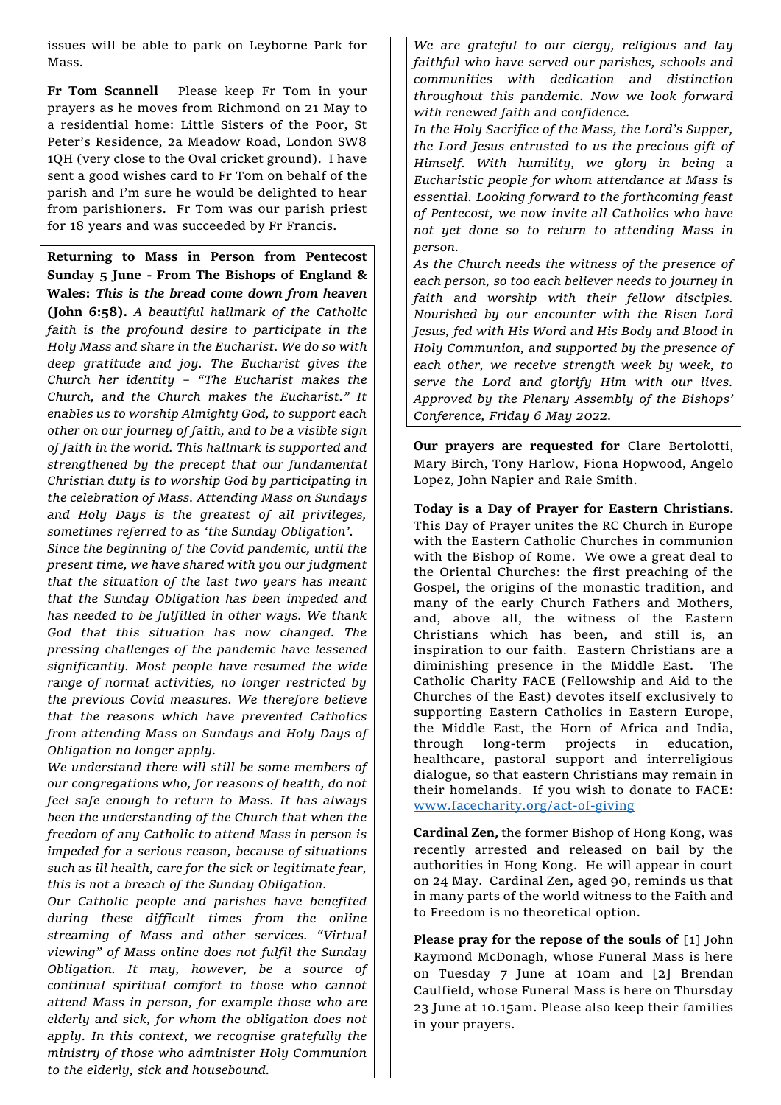issues will be able to park on Leyborne Park for Mass.

**Fr Tom Scannell** Please keep Fr Tom in your prayers as he moves from Richmond on 21 May to a residential home: Little Sisters of the Poor, St Peter's Residence, 2a Meadow Road, London SW8 1QH (very close to the Oval cricket ground). I have sent a good wishes card to Fr Tom on behalf of the parish and I'm sure he would be delighted to hear from parishioners. Fr Tom was our parish priest for 18 years and was succeeded by Fr Francis.

**Returning to Mass in Person from Pentecost Sunday 5 June - From The Bishops of England & Wales:** *This is the bread come down from heaven* **(John 6:58).** *A beautiful hallmark of the Catholic faith is the profound desire to participate in the Holy Mass and share in the Eucharist. We do so with deep gratitude and joy. The Eucharist gives the Church her identity – "The Eucharist makes the Church, and the Church makes the Eucharist." It enables us to worship Almighty God, to support each other on our journey of faith, and to be a visible sign of faith in the world. This hallmark is supported and strengthened by the precept that our fundamental Christian duty is to worship God by participating in the celebration of Mass. Attending Mass on Sundays and Holy Days is the greatest of all privileges, sometimes referred to as 'the Sunday Obligation'. Since the beginning of the Covid pandemic, until the present time, we have shared with you our judgment that the situation of the last two years has meant that the Sunday Obligation has been impeded and has needed to be fulfilled in other ways. We thank God that this situation has now changed. The pressing challenges of the pandemic have lessened significantly. Most people have resumed the wide range of normal activities, no longer restricted by the previous Covid measures. We therefore believe that the reasons which have prevented Catholics from attending Mass on Sundays and Holy Days of Obligation no longer apply.*

*We understand there will still be some members of our congregations who, for reasons of health, do not feel safe enough to return to Mass. It has always been the understanding of the Church that when the freedom of any Catholic to attend Mass in person is impeded for a serious reason, because of situations such as ill health, care for the sick or legitimate fear, this is not a breach of the Sunday Obligation.*

*Our Catholic people and parishes have benefited during these difficult times from the online streaming of Mass and other services. "Virtual viewing" of Mass online does not fulfil the Sunday Obligation. It may, however, be a source of continual spiritual comfort to those who cannot attend Mass in person, for example those who are elderly and sick, for whom the obligation does not apply. In this context, we recognise gratefully the ministry of those who administer Holy Communion to the elderly, sick and housebound.*

*We are grateful to our clergy, religious and lay faithful who have served our parishes, schools and communities with dedication and distinction throughout this pandemic. Now we look forward with renewed faith and confidence.*

*In the Holy Sacrifice of the Mass, the Lord's Supper, the Lord Jesus entrusted to us the precious gift of Himself. With humility, we glory in being a Eucharistic people for whom attendance at Mass is essential. Looking forward to the forthcoming feast of Pentecost, we now invite all Catholics who have not yet done so to return to attending Mass in person.*

*As the Church needs the witness of the presence of each person, so too each believer needs to journey in faith and worship with their fellow disciples. Nourished by our encounter with the Risen Lord Jesus, fed with His Word and His Body and Blood in Holy Communion, and supported by the presence of each other, we receive strength week by week, to serve the Lord and glorify Him with our lives. Approved by the Plenary Assembly of the Bishops' Conference, Friday 6 May 2022.*

**Our prayers are requested for** Clare Bertolotti, Mary Birch, Tony Harlow, Fiona Hopwood, Angelo Lopez, John Napier and Raie Smith.

**Today is a Day of Prayer for Eastern Christians.**  This Day of Prayer unites the RC Church in Europe with the Eastern Catholic Churches in communion with the Bishop of Rome. We owe a great deal to the Oriental Churches: the first preaching of the Gospel, the origins of the monastic tradition, and many of the early Church Fathers and Mothers, and, above all, the witness of the Eastern Christians which has been, and still is, an inspiration to our faith. Eastern Christians are a diminishing presence in the Middle East. The Catholic Charity FACE (Fellowship and Aid to the Churches of the East) devotes itself exclusively to supporting Eastern Catholics in Eastern Europe, the Middle East, the Horn of Africa and India, through long-term projects in education, healthcare, pastoral support and interreligious dialogue, so that eastern Christians may remain in their homelands. If you wish to donate to FACE: [www.facecharity.org/act-of-giving](http://www.facecharity.org/act-of-giving)

**Cardinal Zen,** the former Bishop of Hong Kong, was recently arrested and released on bail by the authorities in Hong Kong. He will appear in court on 24 May. Cardinal Zen, aged 90, reminds us that in many parts of the world witness to the Faith and to Freedom is no theoretical option.

**Please pray for the repose of the souls of** [1] John Raymond McDonagh, whose Funeral Mass is here on Tuesday 7 June at 10am and [2] Brendan Caulfield, whose Funeral Mass is here on Thursday 23 June at 10.15am. Please also keep their families in your prayers.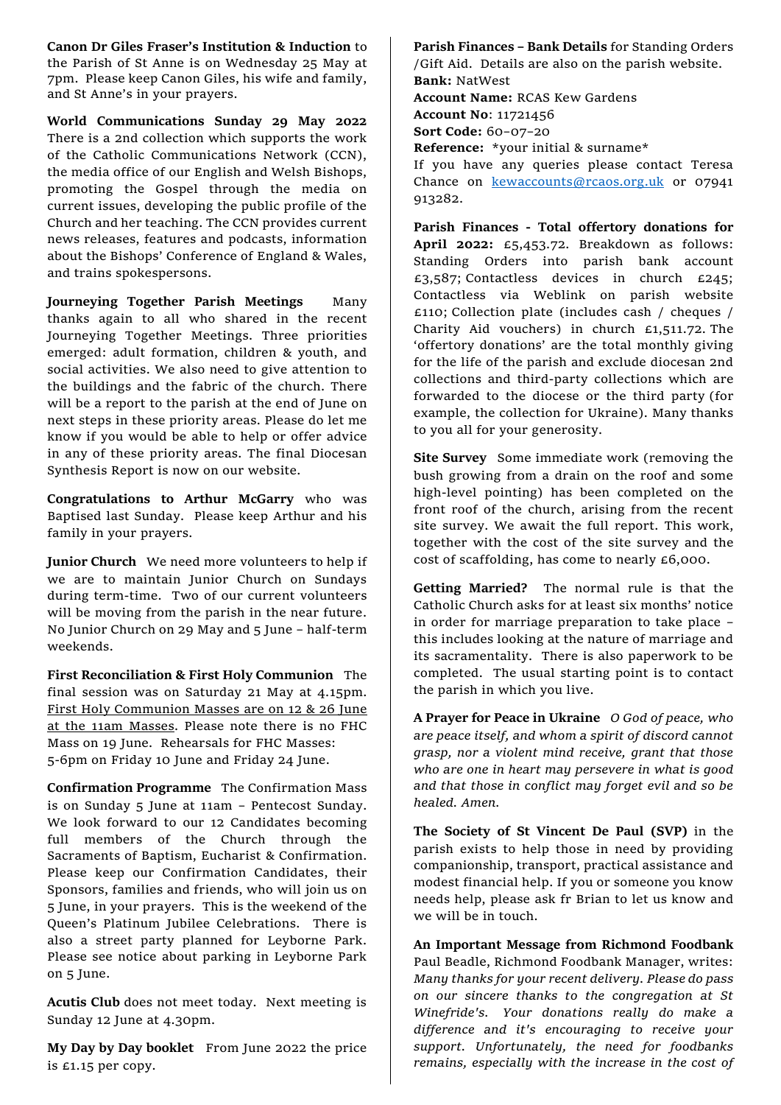**Canon Dr Giles Fraser's Institution & Induction** to the Parish of St Anne is on Wednesday 25 May at 7pm. Please keep Canon Giles, his wife and family, and St Anne's in your prayers.

**World Communications Sunday 29 May 2022** There is a 2nd collection which supports the work of the Catholic Communications Network (CCN), the media office of our English and Welsh Bishops, promoting the Gospel through the media on current issues, developing the public profile of the Church and her teaching. The CCN provides current news releases, features and podcasts, information about the Bishops' Conference of England & Wales, and trains spokespersons.

**Journeying Together Parish Meetings** Many thanks again to all who shared in the recent Journeying Together Meetings. Three priorities emerged: adult formation, children & youth, and social activities. We also need to give attention to the buildings and the fabric of the church. There will be a report to the parish at the end of June on next steps in these priority areas. Please do let me know if you would be able to help or offer advice in any of these priority areas. The final Diocesan Synthesis Report is now on our website.

**Congratulations to Arthur McGarry** who was Baptised last Sunday. Please keep Arthur and his family in your prayers.

**Junior Church** We need more volunteers to help if we are to maintain Junior Church on Sundays during term-time. Two of our current volunteers will be moving from the parish in the near future. No Junior Church on 29 May and 5 June – half-term weekends.

**First Reconciliation & First Holy Communion** The final session was on Saturday 21 May at 4.15pm. First Holy Communion Masses are on 12 & 26 June at the 11am Masses. Please note there is no FHC Mass on 19 June. Rehearsals for FHC Masses: 5-6pm on Friday 10 June and Friday 24 June.

**Confirmation Programme** The Confirmation Mass is on Sunday 5 June at 11am – Pentecost Sunday. We look forward to our 12 Candidates becoming full members of the Church through the Sacraments of Baptism, Eucharist & Confirmation. Please keep our Confirmation Candidates, their Sponsors, families and friends, who will join us on 5 June, in your prayers. This is the weekend of the Queen's Platinum Jubilee Celebrations. There is also a street party planned for Leyborne Park. Please see notice about parking in Leyborne Park on 5 June.

**Acutis Club** does not meet today. Next meeting is Sunday 12 June at 4.30pm.

**My Day by Day booklet** From June 2022 the price is £1.15 per copy.

**Parish Finances – Bank Details** for Standing Orders /Gift Aid. Details are also on the parish website. **Bank:** NatWest **Account Name:** RCAS Kew Gardens

**Account No**: 11721456

**Sort Code:** 60–07–20

**Reference:** \*your initial & surname\*

If you have any queries please contact Teresa Chance on [kewaccounts@rcaos.org.uk](mailto:kewaccounts@rcaos.org.uk) or 07941 913282.

**Parish Finances - Total offertory donations for April 2022:** £5,453.72. Breakdown as follows: Standing Orders into parish bank account £3,587; Contactless devices in church £245; Contactless via Weblink on parish website £110; Collection plate (includes cash / cheques / Charity Aid vouchers) in church £1,511.72. The 'offertory donations' are the total monthly giving for the life of the parish and exclude diocesan 2nd collections and third-party collections which are forwarded to the diocese or the third party (for example, the collection for Ukraine). Many thanks to you all for your generosity.

**Site Survey** Some immediate work (removing the bush growing from a drain on the roof and some high-level pointing) has been completed on the front roof of the church, arising from the recent site survey. We await the full report. This work, together with the cost of the site survey and the cost of scaffolding, has come to nearly £6,000.

**Getting Married?** The normal rule is that the Catholic Church asks for at least six months' notice in order for marriage preparation to take place – this includes looking at the nature of marriage and its sacramentality. There is also paperwork to be completed. The usual starting point is to contact the parish in which you live.

**A Prayer for Peace in Ukraine** *O God of peace, who are peace itself, and whom a spirit of discord cannot grasp, nor a violent mind receive, grant that those who are one in heart may persevere in what is good and that those in conflict may forget evil and so be healed. Amen.* 

**The Society of St Vincent De Paul (SVP)** in the parish exists to help those in need by providing companionship, transport, practical assistance and modest financial help. If you or someone you know needs help, please ask fr Brian to let us know and we will be in touch.

**An Important Message from Richmond Foodbank** Paul Beadle, Richmond Foodbank Manager, writes: *Many thanks for your recent delivery. Please do pass on our sincere thanks to the congregation at St Winefride's. Your donations really do make a difference and it's encouraging to receive your support. Unfortunately, the need for foodbanks remains, especially with the increase in the cost of*